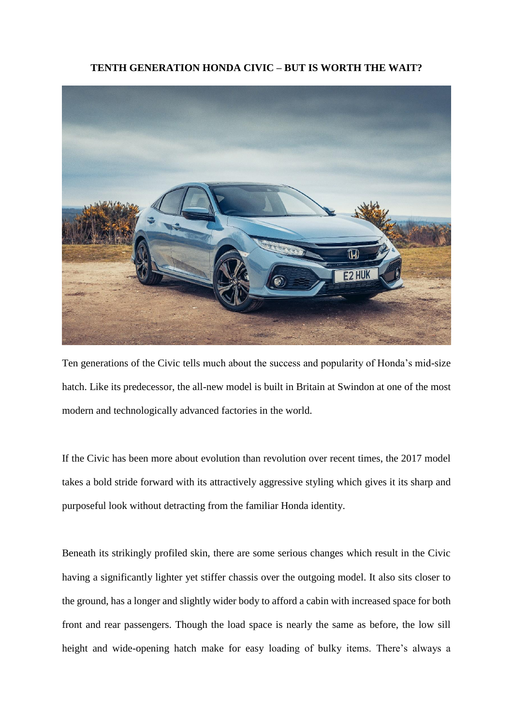## **TENTH GENERATION HONDA CIVIC – BUT IS WORTH THE WAIT?**



Ten generations of the Civic tells much about the success and popularity of Honda's mid-size hatch. Like its predecessor, the all-new model is built in Britain at Swindon at one of the most modern and technologically advanced factories in the world.

If the Civic has been more about evolution than revolution over recent times, the 2017 model takes a bold stride forward with its attractively aggressive styling which gives it its sharp and purposeful look without detracting from the familiar Honda identity.

Beneath its strikingly profiled skin, there are some serious changes which result in the Civic having a significantly lighter yet stiffer chassis over the outgoing model. It also sits closer to the ground, has a longer and slightly wider body to afford a cabin with increased space for both front and rear passengers. Though the load space is nearly the same as before, the low sill height and wide-opening hatch make for easy loading of bulky items. There's always a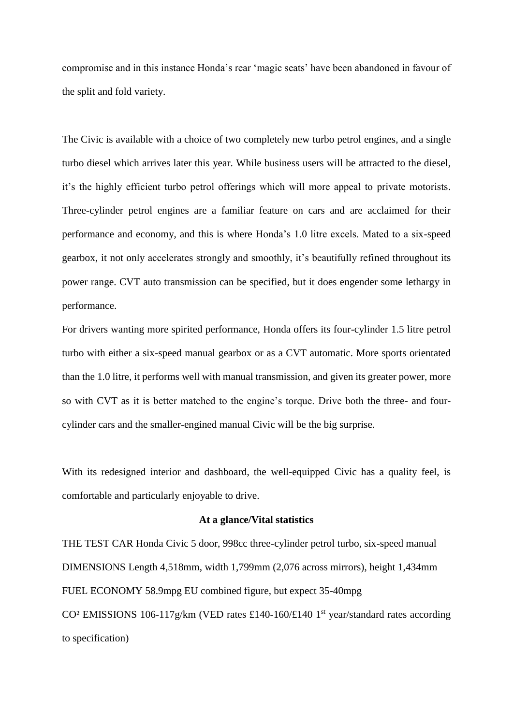compromise and in this instance Honda's rear 'magic seats' have been abandoned in favour of the split and fold variety.

The Civic is available with a choice of two completely new turbo petrol engines, and a single turbo diesel which arrives later this year. While business users will be attracted to the diesel, it's the highly efficient turbo petrol offerings which will more appeal to private motorists. Three-cylinder petrol engines are a familiar feature on cars and are acclaimed for their performance and economy, and this is where Honda's 1.0 litre excels. Mated to a six-speed gearbox, it not only accelerates strongly and smoothly, it's beautifully refined throughout its power range. CVT auto transmission can be specified, but it does engender some lethargy in performance.

For drivers wanting more spirited performance, Honda offers its four-cylinder 1.5 litre petrol turbo with either a six-speed manual gearbox or as a CVT automatic. More sports orientated than the 1.0 litre, it performs well with manual transmission, and given its greater power, more so with CVT as it is better matched to the engine's torque. Drive both the three- and fourcylinder cars and the smaller-engined manual Civic will be the big surprise.

With its redesigned interior and dashboard, the well-equipped Civic has a quality feel, is comfortable and particularly enjoyable to drive.

## **At a glance/Vital statistics**

THE TEST CAR Honda Civic 5 door, 998cc three-cylinder petrol turbo, six-speed manual DIMENSIONS Length 4,518mm, width 1,799mm (2,076 across mirrors), height 1,434mm FUEL ECONOMY 58.9mpg EU combined figure, but expect 35-40mpg CO<sup>2</sup> EMISSIONS 106-117g/km (VED rates £140-160/£140 1<sup>st</sup> year/standard rates according to specification)